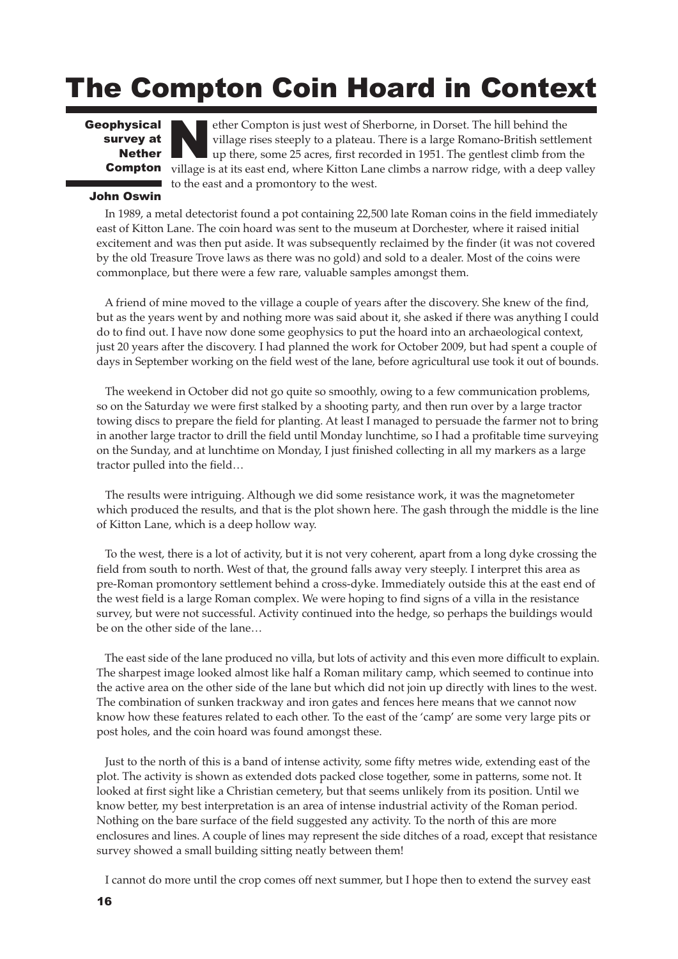## The Compton Coin Hoard in Context

**Geophysical** survey at **Nether** 

ether Compton is just west of Sherborne, in Dorset. The hill behind the village rises steeply to a plateau. There is a large Romano-British settlement up there, some 25 acres, first recorded in 1951. The gentlest climb from the **Compton** village is at its east end, where Kitton Lane climbs a narrow ridge, with a deep valley to the east and a promontory to the west.

## John Oswin

In 1989, a metal detectorist found a pot containing 22,500 late Roman coins in the field immediately east of Kitton Lane. The coin hoard was sent to the museum at Dorchester, where it raised initial excitement and was then put aside. It was subsequently reclaimed by the finder (it was not covered by the old Treasure Trove laws as there was no gold) and sold to a dealer. Most of the coins were commonplace, but there were a few rare, valuable samples amongst them.

A friend of mine moved to the village a couple of years after the discovery. She knew of the find, but as the years went by and nothing more was said about it, she asked if there was anything I could do to find out. I have now done some geophysics to put the hoard into an archaeological context, just 20 years after the discovery. I had planned the work for October 2009, but had spent a couple of days in September working on the field west of the lane, before agricultural use took it out of bounds.

The weekend in October did not go quite so smoothly, owing to a few communication problems, so on the Saturday we were first stalked by a shooting party, and then run over by a large tractor towing discs to prepare the field for planting. At least I managed to persuade the farmer not to bring in another large tractor to drill the field until Monday lunchtime, so I had a profitable time surveying on the Sunday, and at lunchtime on Monday, I just finished collecting in all my markers as a large tractor pulled into the field…

The results were intriguing. Although we did some resistance work, it was the magnetometer which produced the results, and that is the plot shown here. The gash through the middle is the line of Kitton Lane, which is a deep hollow way.

To the west, there is a lot of activity, but it is not very coherent, apart from a long dyke crossing the field from south to north. West of that, the ground falls away very steeply. I interpret this area as pre-Roman promontory settlement behind a cross-dyke. Immediately outside this at the east end of the west field is a large Roman complex. We were hoping to find signs of a villa in the resistance survey, but were not successful. Activity continued into the hedge, so perhaps the buildings would be on the other side of the lane…

The east side of the lane produced no villa, but lots of activity and this even more difficult to explain. The sharpest image looked almost like half a Roman military camp, which seemed to continue into the active area on the other side of the lane but which did not join up directly with lines to the west. The combination of sunken trackway and iron gates and fences here means that we cannot now know how these features related to each other. To the east of the 'camp' are some very large pits or post holes, and the coin hoard was found amongst these.

Just to the north of this is a band of intense activity, some fifty metres wide, extending east of the plot. The activity is shown as extended dots packed close together, some in patterns, some not. It looked at first sight like a Christian cemetery, but that seems unlikely from its position. Until we know better, my best interpretation is an area of intense industrial activity of the Roman period. Nothing on the bare surface of the field suggested any activity. To the north of this are more enclosures and lines. A couple of lines may represent the side ditches of a road, except that resistance survey showed a small building sitting neatly between them!

I cannot do more until the crop comes off next summer, but I hope then to extend the survey east